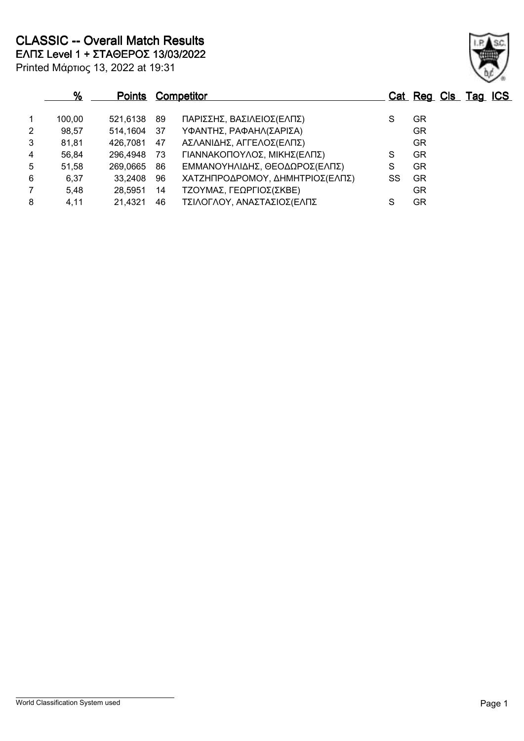**CLASSIC -- Overall Match Results**

**ΕΛΠΣ Level 1 + ΣΤΑΘΕΡΟΣ 13/03/2022**

| Printed Μάρτιος 13, 2022 at 19:31 |  |  |  |  |
|-----------------------------------|--|--|--|--|
|-----------------------------------|--|--|--|--|

### **% Points Competitor Cat Reg Cls Tag ICS** 1 100,00 521,6138 89 ΠΑΡΙΣΣΗΣ, ΒΑΣΙΛΕΙΟΣ(ΕΛΠΣ) S GR 2 98,57 514,1604 37 ΥΦΑΝΤΗΣ, ΡΑΦΑΗΛ(ΣΑΡΙΣΑ) GR 3 81,81 426,7081 47 ΑΣΛΑΝΙΔΗΣ, ΑΓΓΕΛΟΣ(ΕΛΠΣ) GR 4 56,84 296,4948 73 ΓΙΑΝΝΑΚΟΠΟΥΛΟΣ, ΜΙΚΗΣ(ΕΛΠΣ) S GR 5 51,58 269,0665 86 ΕΜΜΑΝΟΥΗΛΙΔΗΣ, ΘΕΟΔΩΡΟΣ(ΕΛΠΣ) S GR 6 6,37 33,2408 96 ΧΑΤΖΗΠΡΟΔΡΟΜΟΥ, ΔΗΜΗΤΡΙΟΣ(ΕΛΠΣ) SS GR 7 5,48 28,5951 14 ΤΖΟΥΜΑΣ, ΓΕΩΡΓΙΟΣ(ΣΚΒΕ) GR

8 4,11 21,4321 46 ΤΣΙΛΟΓΛΟΥ, ΑΝΑΣΤΑΣΙΟΣ(ΕΛΠΣ S GR

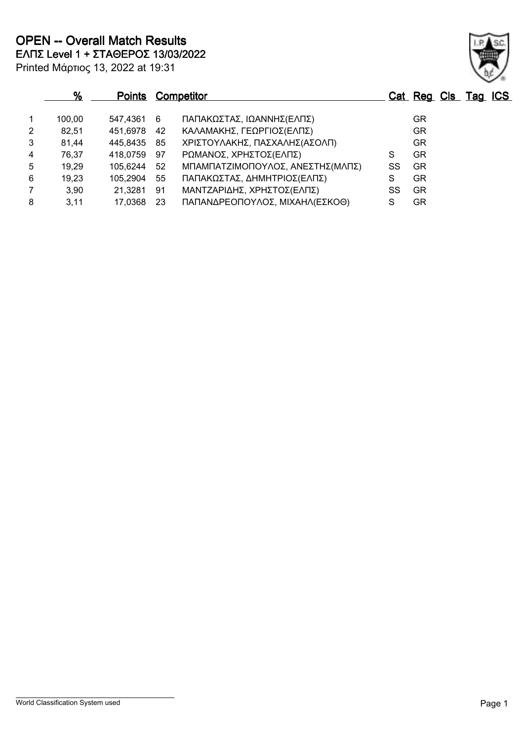|   | %      | <b>Points</b> |     | <b>Competitor</b>                |    | Cat Reg Cls Tag ICS |  |  |
|---|--------|---------------|-----|----------------------------------|----|---------------------|--|--|
|   | 100,00 | 547.4361      | - 6 | ΠΑΠΑΚΩΣΤΑΣ, ΙΩΑΝΝΗΣ(ΕΛΠΣ)        |    | GR.                 |  |  |
| 2 | 82,51  | 451,6978      | 42  | ΚΑΛΑΜΑΚΗΣ, ΓΕΩΡΓΙΟΣ(ΕΛΠΣ)        |    | GR                  |  |  |
| 3 | 81,44  | 445,8435      | 85  | ΧΡΙΣΤΟΥΛΑΚΗΣ, ΠΑΣΧΑΛΗΣ(ΑΣΟΛΠ)    |    | GR                  |  |  |
| 4 | 76,37  | 418,0759      | 97  | ΡΩΜΑΝΟΣ, ΧΡΗΣΤΟΣ(ΕΛΠΣ)           | S  | GR.                 |  |  |
| 5 | 19,29  | 105,6244      | 52  | ΜΠΑΜΠΑΤΖΙΜΟΠΟΥΛΟΣ, ΑΝΕΣΤΗΣ(ΜΛΠΣ) | SS | GR.                 |  |  |
| 6 | 19,23  | 105,2904      | 55  | ΠΑΠΑΚΩΣΤΑΣ, ΔΗΜΗΤΡΙΟΣ(ΕΛΠΣ)      | S  | GR                  |  |  |
|   | 3,90   | 21,3281       | 91  | ΜΑΝΤΖΑΡΙΔΗΣ, ΧΡΗΣΤΟΣ(ΕΛΠΣ)       | SS | GR.                 |  |  |
| 8 | 3.11   | 17,0368       | -23 | ΠΑΠΑΝΔΡΕΟΠΟΥΛΟΣ, ΜΙΧΑΗΛ(ΕΣΚΟΘ)   | S  | GR                  |  |  |

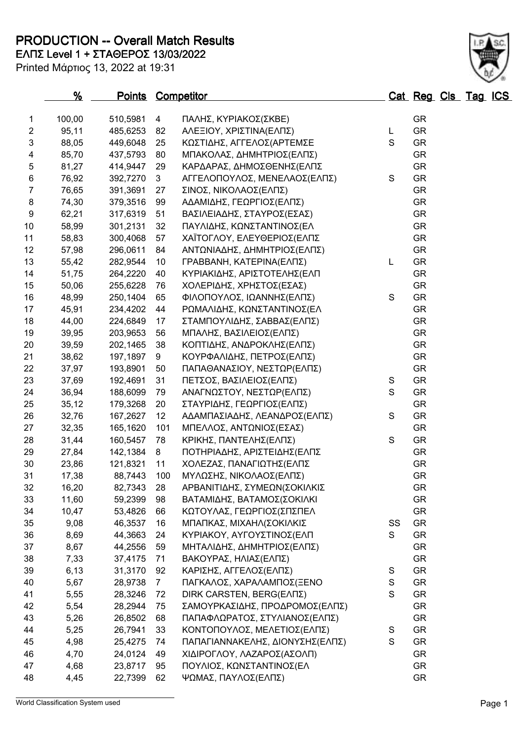**PRODUCTION -- Overall Match Results**

**% Points Competitor Cat Reg Cls Tag ICS**

 100,00 510,5981 4 ΠΑΛΗΣ, ΚΥΡΙΑΚΟΣ(ΣΚΒΕ) GR 95,11 485,6253 82 ΑΛΕΞΙΟΥ, ΧΡΙΣΤΙΝΑ(ΕΛΠΣ) L GR 3 88,05 449,6048 25 ΚΩΣΤΙΔΗΣ, ΑΓΓΕΛΟΣ(ΑΡΤΕΜΣΕ S GR 85,70 437,5793 80 ΜΠΑΚΟΛΑΣ, ΔΗΜΗΤΡΙΟΣ(ΕΛΠΣ) GR 81,27 414,9447 29 ΚΑΡΔΑΡΑΣ, ΔΗΜΟΣΘΕΝΗΣ(ΕΛΠΣ GR 76,92 392,7270 3 ΑΓΓΕΛΟΠΟΥΛΟΣ, ΜΕΝΕΛΑΟΣ(ΕΛΠΣ) S GR 76,65 391,3691 27 ΣΙΝΟΣ, ΝΙΚΟΛΑΟΣ(ΕΛΠΣ) GR 74,30 379,3516 99 ΑΔΑΜΙΔΗΣ, ΓΕΩΡΓΙΟΣ(ΕΛΠΣ) GR 62,21 317,6319 51 ΒΑΣΙΛΕΙΑΔΗΣ, ΣΤΑΥΡΟΣ(ΕΣΑΣ) GR 10 58,99 301,2131 32 ΠΑΥΛΙΔΗΣ, ΚΩΝΣΤΑΝΤΙΝΟΣ(ΕΛ GR 58,83 300,4068 57 ΧΑΪΤΟΓΛΟΥ, ΕΛΕΥΘΕΡΙΟΣ(ΕΛΠΣ GR 57,98 296,0611 84 ΑΝΤΩΝΙΑΔΗΣ, ΔΗΜΗΤΡΙΟΣ(ΕΛΠΣ) GR 55,42 282,9544 10 ΓΡΑΒΒΑΝΗ, ΚΑΤΕΡΙΝΑ(ΕΛΠΣ) L GR 51,75 264,2220 40 ΚΥΡΙΑΚΙΔΗΣ, ΑΡΙΣΤΟΤΕΛΗΣ(ΕΛΠ GR 15 50,06 255,6228 76 ΧΟΛΕΡΙΔΗΣ, ΧΡΗΣΤΟΣ(ΕΣΑΣ) 6R 16 48.99 250.1404 65 ΦΙΛΟΠΟΥΛΟΣ, ΙΩΑΝΝΗΣ(ΕΛΠΣ) S GR 17 45.91 234.4202 44 ΡΩΜΑΛΙΔΗΣ, ΚΩΝΣΤΑΝΤΙΝΟΣ(ΕΛ GR 44,00 224,6849 17 ΣΤΑΜΠΟΥΛΙΔΗΣ, ΣΑΒΒΑΣ(ΕΛΠΣ) GR 39,95 203,9653 56 ΜΠΑΛΗΣ, ΒΑΣΙΛΕΙΟΣ(ΕΛΠΣ) GR 39,59 202,1465 38 ΚΟΠΤΙΔΗΣ, ΑΝΔΡΟΚΛΗΣ(ΕΛΠΣ) GR 38,62 197,1897 9 ΚΟΥΡΦΑΛΙΔΗΣ, ΠΕΤΡΟΣ(ΕΛΠΣ) GR 37,97 193,8901 50 ΠΑΠΑΘΑΝΑΣΙΟΥ, ΝΕΣΤΩΡ(ΕΛΠΣ) GR 37,69 192,4691 31 ΠΕΤΣΟΣ, ΒΑΣΙΛΕΙΟΣ(ΕΛΠΣ) S GR 24 36,94 188,6099 79 ΑΝΑΓΝΩΣΤΟΥ, ΝΕΣΤΩΡ(ΕΛΠΣ) S GR 25 35,12 179,3268 20 ΣΤΑΥΡΙΔΗΣ, ΓΕΩΡΓΙΟΣ(ΕΛΠΣ) GR 26 32,76 167,2627 12 ΑΔΑΜΠΑΣΙΑΔΗΣ, ΛΕΑΝΔΡΟΣ(ΕΛΠΣ) S GR 27 32,35 165,1620 101 ΜΠΕΛΛΟΣ, ΑΝΤΩΝΙΟΣ(ΕΣΑΣ) GR 31,44 160,5457 78 ΚΡΙΚΗΣ, ΠΑΝΤΕΛΗΣ(ΕΛΠΣ) S GR 27,84 142,1384 8 ΠΟΤΗΡΙΑΔΗΣ, ΑΡΙΣΤΕΙΔΗΣ(ΕΛΠΣ GR 23,86 121,8321 11 ΧΟΛΕΖΑΣ, ΠΑΝΑΓΙΩΤΗΣ(ΕΛΠΣ GR

32 16,20 82,7343 28 ΑΡΒΑΝΙΤΙΔΗΣ, ΣΥΜΕΩΝ(ΣΟΚΙΛΚΙΣ GR 33 11,60 59,2399 98 ΒΑΤΑΜΙΔΗΣ, ΒΑΤΑΜΟΣ(ΣΟΚΙΛΚΙ 6R 34 10,47 53,4826 66 ΚΩΤΟΥΛΑΣ, ΓΕΩΡΓΙΟΣ(ΣΠΣΠΕΛ GR 35 9,08 46,3537 16 ΜΠΑΠΚΑΣ, ΜΙΧΑΗΛ(ΣΟΚΙΛΚΙΣ SS GR 36 8,69 44,3663 24 ΚΥΡΙΑΚΟΥ, ΑΥΓΟΥΣΤΙΝΟΣ(ΕΛΠ S GR 37 8,67 44,2556 59 ΜΗΤΑΛΙΔΗΣ, ΔΗΜΗΤΡΙΟΣ(ΕΛΠΣ) GR 38 7,33 37,4175 71 ΒΑΚΟΥΡΑΣ, ΗΛΙΑΣ(ΕΛΠΣ) 6R 39 6,13 31,3170 92 ΚΑΡΙΣΗΣ, ΑΓΓΕΛΟΣ(ΕΛΠΣ) S GR 40 5,67 28,9738 7 ΠΑΓΚΑΛΟΣ, ΧΑΡΑΛΑΜΠΟΣ(ΞΕΝΟ S GR 41 5,55 28,3246 72 DIRK CARSTEN, BERG(ΕΛΠΣ) S GR 42 5,54 28,2944 75 ΣΑΜΟΥΡΚΑΣΙΔΗΣ, ΠΡΟΔΡΟΜΟΣ(ΕΛΠΣ) GR 43 5,26 26,8502 68 ΠΑΠΑΦΛΩΡΑΤΟΣ, ΣΤΥΛΙΑΝΟΣ(ΕΛΠΣ) GR

**ΕΛΠΣ Level 1 + ΣΤΑΘΕΡΟΣ 13/03/2022**

#### 31 17,38 88,7443 100 ΜΥΛΩΣΗΣ, ΝΙΚΟΛΑΟΣ(ΕΛΠΣ) GR

| 44  | 5.25 | 26.7941 33 |      | ΚΟΝΤΟΠΟΥΛΟΣ, ΜΕΛΕΤΙΟΣ(ΕΛΠΣ)     | GR.       |
|-----|------|------------|------|---------------------------------|-----------|
| 45  | 4.98 | 25.4275 74 |      | ΠΑΠΑΓΙΑΝΝΑΚΕΛΗΣ, ΔΙΟΝΥΣΗΣ(ΕΛΠΣ) | <b>GR</b> |
| 46  | 4.70 | 24.0124 49 |      | ΧΙΔΙΡΟΓΛΟΥ, ΛΑΖΑΡΟΣ(ΑΣΟΛΠ)      | <b>GR</b> |
| -47 | 4.68 | 23.8717    | - 95 | ΠΟΥΛΙΟΣ, ΚΩΝΣΤΑΝΤΙΝΟΣ(ΕΛ        | GR.       |
| 48  | 4.45 | 22.7399    | 62   | ΨΩΜΑΣ, ΠΑΥΛΟΣ(ΕΛΠΣ)             | GR.       |

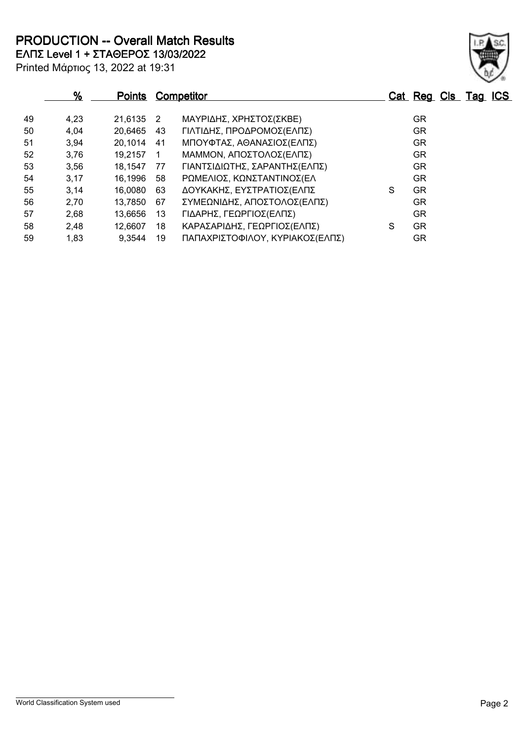**PRODUCTION -- Overall Match Results**

Printed Μάρτιος 13, 2022 at 19:31 **ΕΛΠΣ Level 1 + ΣΤΑΘΕΡΟΣ 13/03/2022**

|    | %    | <u>Points</u> |                | <b>Competitor</b>               |   | Cat Reg Cls Tag ICS |  |  |
|----|------|---------------|----------------|---------------------------------|---|---------------------|--|--|
| 49 | 4,23 | 21.6135 2     |                | ΜΑΥΡΙΔΗΣ, ΧΡΗΣΤΟΣ(ΣΚΒΕ)         |   | GR                  |  |  |
| 50 | 4,04 | 20,6465       | 43             | ΓΙΛΤΙΔΗΣ, ΠΡΟΔΡΟΜΟΣ(ΕΛΠΣ)       |   | <b>GR</b>           |  |  |
| 51 | 3,94 | 20,1014       | 41             | ΜΠΟΥΦΤΑΣ, ΑΘΑΝΑΣΙΟΣ(ΕΛΠΣ)       |   | <b>GR</b>           |  |  |
| 52 | 3,76 | 19,2157       | $\overline{1}$ | ΜΑΜΜΟΝ, ΑΠΟΣΤΟΛΟΣ(ΕΛΠΣ)         |   | <b>GR</b>           |  |  |
| 53 | 3,56 | 18,1547       | 77             | ΓΙΑΝΤΣΙΔΙΩΤΗΣ, ΣΑΡΑΝΤΗΣ(ΕΛΠΣ)   |   | GR.                 |  |  |
| 54 | 3,17 | 16,1996       | 58             | ΡΩΜΕΛΙΟΣ, ΚΩΝΣΤΑΝΤΙΝΟΣ(ΕΛ       |   | GR.                 |  |  |
| 55 | 3,14 | 16,0080       | 63             | ΔΟΥΚΑΚΗΣ, ΕΥΣΤΡΑΤΙΟΣ(ΕΛΠΣ       | S | <b>GR</b>           |  |  |
| 56 | 2,70 | 13,7850       | 67             | ΣΥΜΕΩΝΙΔΗΣ, ΑΠΟΣΤΟΛΟΣ(ΕΛΠΣ)     |   | GR                  |  |  |
| 57 | 2,68 | 13,6656       | 13             | ΓΙΔΑΡΗΣ, ΓΕΩΡΓΙΟΣ(ΕΛΠΣ)         |   | <b>GR</b>           |  |  |
| 58 | 2,48 | 12,6607       | 18             | ΚΑΡΑΣΑΡΙΔΗΣ, ΓΕΩΡΓΙΟΣ(ΕΛΠΣ)     | S | <b>GR</b>           |  |  |
| 59 | 1,83 | 9,3544        | 19             | ΠΑΠΑΧΡΙΣΤΟΦΙΛΟΥ, ΚΥΡΙΑΚΟΣ(ΕΛΠΣ) |   | GR.                 |  |  |

World Classification System used **Page 2** 

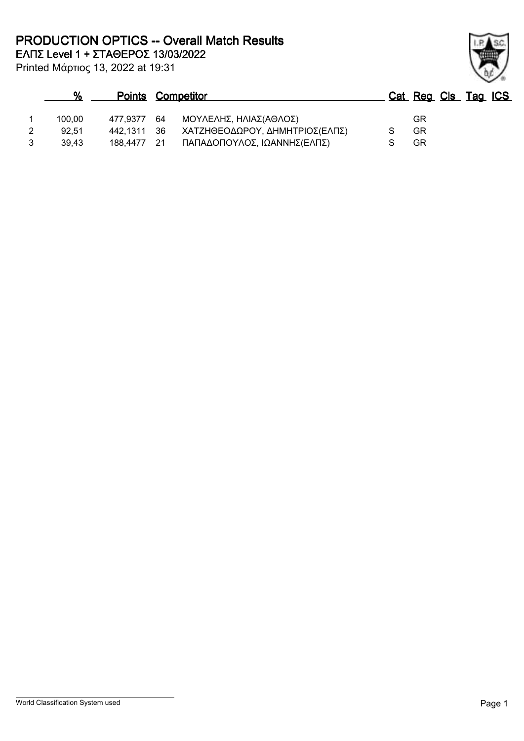**PRODUCTION OPTICS -- Overall Match Results**

**ΕΛΠΣ Level 1 + ΣΤΑΘΕΡΟΣ 13/03/2022**

Printed Μάρτιος 13, 2022 at 19:31

### **% Points Competitor Cat Reg Cls Tag ICS** 1 100,00 477,9377 64 ΜΟΥΛΕΛΗΣ, ΗΛΙΑΣ(ΑΘΛΟΣ) GR 2 92,51 442,1311 36 ΧΑΤΖΗΘΕΟΔΩΡΟΥ, ΔΗΜΗΤΡΙΟΣ(ΕΛΠΣ) S GR 3 39,43 188,4477 21 ΠΑΠΑΔΟΠΟΥΛΟΣ, ΙΩΑΝΝΗΣ(ΕΛΠΣ) S GR

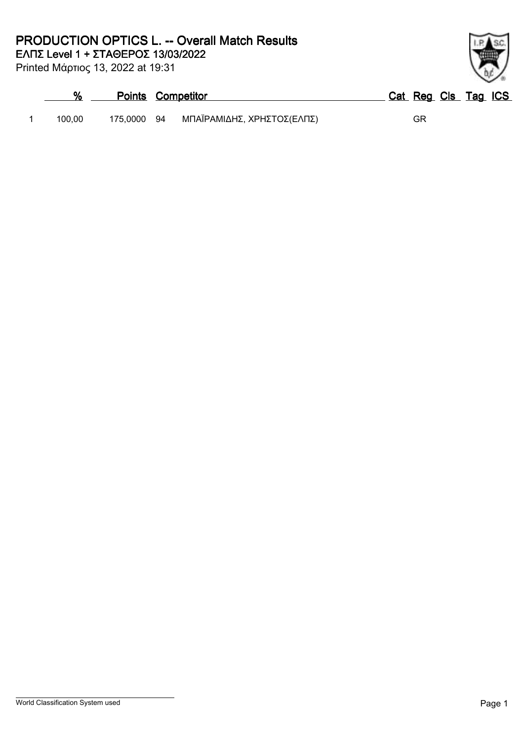# **PRODUCTION OPTICS L. -- Overall Match Results**

**ΕΛΠΣ Level 1 + ΣΤΑΘΕΡΟΣ 13/03/2022**

Printed Μάρτιος 13, 2022 at 19:31

| %      |             | <b>Points Competitor</b>   | Cat Reg Cls Tag ICS |
|--------|-------------|----------------------------|---------------------|
| 100.00 | 175,0000 94 | ΜΠΑΪΡΑΜΙΔΗΣ, ΧΡΗΣΤΟΣ(ΕΛΠΣ) | GR                  |

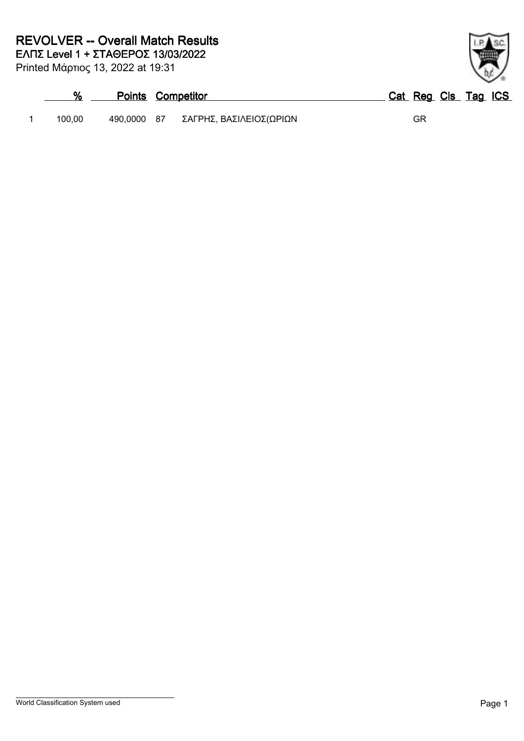Printed Μάρτιος 13, 2022 at 19:31

|        | <b>Points Competitor</b>            | Cat Reg Cls Tag ICS |
|--------|-------------------------------------|---------------------|
| 100.00 | 490,0000 87 ΣΑΓΡΗΣ, ΒΑΣΙΛΕΙΟΣ(ΩΡΙΩΝ | GR                  |

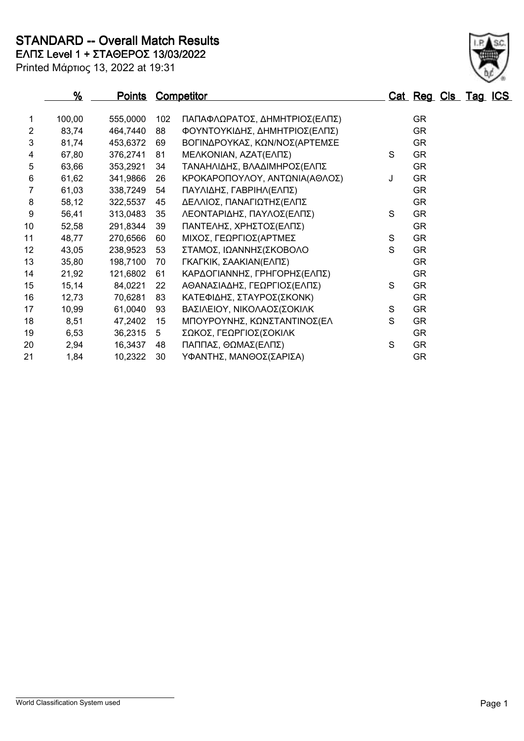# **STANDARD -- Overall Match Results**

**ΕΛΠΣ Level 1 + ΣΤΑΘΕΡΟΣ 13/03/2022**

|                 | %      |          |     | <b>Points Competitor</b>      |   | Cat Reg Cls Tag ICS |  |  |
|-----------------|--------|----------|-----|-------------------------------|---|---------------------|--|--|
| 1               | 100,00 | 555,0000 | 102 | ΠΑΠΑΦΛΩΡΑΤΟΣ, ΔΗΜΗΤΡΙΟΣ(ΕΛΠΣ) |   | <b>GR</b>           |  |  |
| $\overline{2}$  | 83,74  | 464,7440 | 88  | ΦΟΥΝΤΟΥΚΙΔΗΣ, ΔΗΜΗΤΡΙΟΣ(ΕΛΠΣ) |   | <b>GR</b>           |  |  |
| 3               | 81,74  | 453,6372 | 69  | ΒΟΓΙΝΔΡΟΥΚΑΣ, ΚΩΝ/ΝΟΣ(ΑΡΤΕΜΣΕ |   | <b>GR</b>           |  |  |
| 4               | 67,80  | 376,2741 | 81  | ΜΕΛΚΟΝΙΑΝ, ΑΖΑΤ(ΕΛΠΣ)         | S | <b>GR</b>           |  |  |
| 5               | 63,66  | 353,2921 | 34  | ΤΑΝΑΗΛΙΔΗΣ, ΒΛΑΔΙΜΗΡΟΣ(ΕΛΠΣ   |   | <b>GR</b>           |  |  |
| 6               | 61,62  | 341,9866 | 26  | ΚΡΟΚΑΡΟΠΟΥΛΟΥ, ΑΝΤΩΝΙΑ(ΑΘΛΟΣ) | J | <b>GR</b>           |  |  |
| 7               | 61,03  | 338,7249 | 54  | ΠΑΥΛΙΔΗΣ, ΓΑΒΡΙΗΛ(ΕΛΠΣ)       |   | <b>GR</b>           |  |  |
| 8               | 58,12  | 322,5537 | 45  | ΔΕΛΛΙΟΣ, ΠΑΝΑΓΙΩΤΗΣ(ΕΛΠΣ      |   | <b>GR</b>           |  |  |
| 9               | 56,41  | 313,0483 | 35  | ΛΕΟΝΤΑΡΙΔΗΣ, ΠΑΥΛΟΣ(ΕΛΠΣ)     | S | <b>GR</b>           |  |  |
| 10 <sub>1</sub> | 52,58  | 291,8344 | 39  | ΠΑΝΤΕΛΗΣ, ΧΡΗΣΤΟΣ(ΕΛΠΣ)       |   | <b>GR</b>           |  |  |
| 11              | 48,77  | 270,6566 | 60  | ΜΙΧΟΣ, ΓΕΩΡΓΙΟΣ(ΑΡΤΜΕΣ        | S | GR.                 |  |  |
| 12              | 43,05  | 238,9523 | 53  | ΣΤΑΜΟΣ, ΙΩΑΝΝΗΣ(ΣΚΟΒΟΛΟ       | S | <b>GR</b>           |  |  |
| 13              | 35,80  | 198,7100 | 70  | ΓΚΑΓΚΙΚ, ΣΑΑΚΙΑΝ(ΕΛΠΣ)        |   | <b>GR</b>           |  |  |
| 14              | 21,92  | 121,6802 | 61  | ΚΑΡΔΟΓΙΑΝΝΗΣ, ΓΡΗΓΟΡΗΣ(ΕΛΠΣ)  |   | <b>GR</b>           |  |  |
| 15              | 15,14  | 84,0221  | 22  | ΑΘΑΝΑΣΙΑΔΗΣ, ΓΕΩΡΓΙΟΣ(ΕΛΠΣ)   | S | <b>GR</b>           |  |  |
| 16              | 12,73  | 70,6281  | 83  | ΚΑΤΕΦΙΔΗΣ, ΣΤΑΥΡΟΣ(ΣΚΟΝΚ)     |   | <b>GR</b>           |  |  |
| 17              | 10,99  | 61,0040  | 93  | ΒΑΣΙΛΕΙΟΥ, ΝΙΚΟΛΑΟΣ(ΣΟΚΙΛΚ    | S | <b>GR</b>           |  |  |
| 18              | 8,51   | 47,2402  | 15  | ΜΠΟΥΡΟΥΝΗΣ, ΚΩΝΣΤΑΝΤΙΝΟΣ(ΕΛ   | S | <b>GR</b>           |  |  |
| 19              | 6,53   | 36,2315  | 5   | ΣΩΚΟΣ, ΓΕΩΡΓΙΟΣ(ΣΟΚΙΛΚ        |   | <b>GR</b>           |  |  |
| 20              | 2,94   | 16,3437  | 48  | ΠΑΠΠΑΣ, ΘΩΜΑΣ(ΕΛΠΣ)           | S | <b>GR</b>           |  |  |
| 21              | 1,84   | 10,2322  | 30  | ΥΦΑΝΤΗΣ, ΜΑΝΘΟΣ(ΣΑΡΙΣΑ)       |   | <b>GR</b>           |  |  |